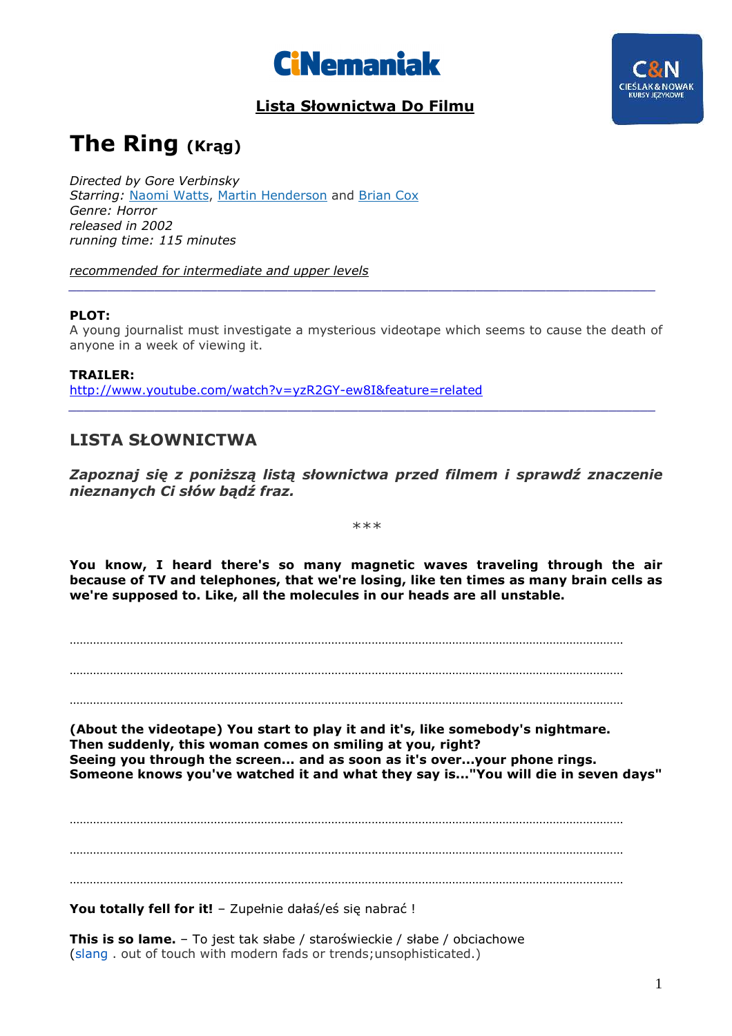

### **Lista Słownictwa Do Filmu**



### **The Ring (Krąg)**

*Directed by Gore Verbinsky Starring:* Naomi Watts, Martin Henderson and Brian Cox *Genre: Horror released in 2002 running time: 115 minutes* 

*recommended for intermediate and upper levels* 

#### **PLOT:**

A young journalist must investigate a mysterious videotape which seems to cause the death of anyone in a week of viewing it.

*\_\_\_\_\_\_\_\_\_\_\_\_\_\_\_\_\_\_\_\_\_\_\_\_\_\_\_\_\_\_\_\_\_\_\_\_\_\_\_\_\_\_\_\_\_\_\_\_\_\_\_\_\_\_\_\_\_\_\_\_\_\_\_\_\_\_\_\_\_\_\_\_\_\_\_* 

**TRAILER:**  http://www.youtube.com/watch?v=yzR2GY-ew8I&feature=related *\_\_\_\_\_\_\_\_\_\_\_\_\_\_\_\_\_\_\_\_\_\_\_\_\_\_\_\_\_\_\_\_\_\_\_\_\_\_\_\_\_\_\_\_\_\_\_\_\_\_\_\_\_\_\_\_\_\_\_\_\_\_\_\_\_\_\_\_\_\_\_\_\_\_\_* 

#### **LISTA SŁOWNICTWA**

*Zapoznaj się z poniższą listą słownictwa przed filmem i sprawdź znaczenie nieznanych Ci słów bądź fraz.* 

*\*\*\** 

**You know, I heard there's so many magnetic waves traveling through the air because of TV and telephones, that we're losing, like ten times as many brain cells as we're supposed to. Like, all the molecules in our heads are all unstable.** 

…………………………………………………………………………………………………………………………………………………

…………………………………………………………………………………………………………………………………………………

**(About the videotape) You start to play it and it's, like somebody's nightmare. Then suddenly, this woman comes on smiling at you, right? Seeing you through the screen... and as soon as it's over...your phone rings. Someone knows you've watched it and what they say is..."You will die in seven days"** 

………………………………………………………………………………………………………………………………………………… …………………………………………………………………………………………………………………………………………………

…………………………………………………………………………………………………………………………………………………

**You totally fell for it!** – Zupełnie dałaś/eś się nabrać !

**This is so lame.** – To jest tak słabe / staroświeckie / słabe / obciachowe (slang . out of touch with modern fads or trends;unsophisticated.)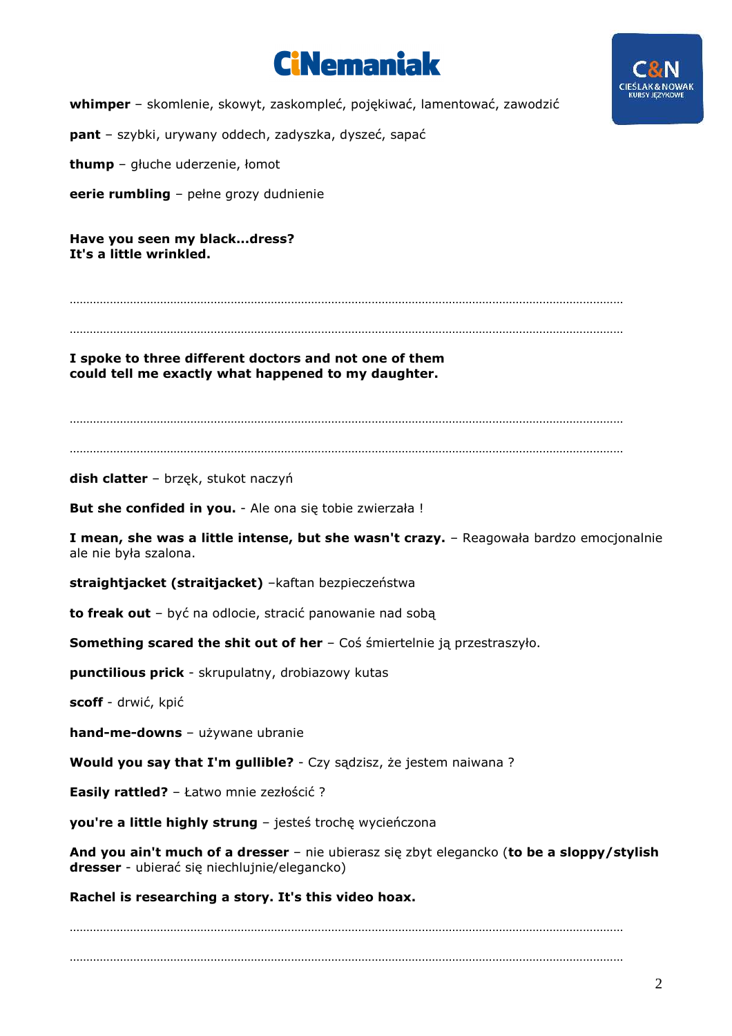



**whimper** – skomlenie, skowyt, zaskompleć, pojękiwać, lamentować, zawodzić

**pant** – szybki, urywany oddech, zadyszka, dyszeć, sapać

**thump** – głuche uderzenie, łomot

**eerie rumbling** – pełne grozy dudnienie

**Have you seen my black...dress? It's a little wrinkled.** 

…………………………………………………………………………………………………………………………………………………

…………………………………………………………………………………………………………………………………………………

**I spoke to three different doctors and not one of them could tell me exactly what happened to my daughter.** 

…………………………………………………………………………………………………………………………………………………

…………………………………………………………………………………………………………………………………………………

**dish clatter** – brzęk, stukot naczyń

**But she confided in you.** - Ale ona się tobie zwierzała !

**I mean, she was a little intense, but she wasn't crazy.** – Reagowała bardzo emocjonalnie ale nie była szalona.

**straightjacket (straitjacket)** –kaftan bezpieczeństwa

**to freak out** – być na odlocie, stracić panowanie nad sobą

**Something scared the shit out of her** – Coś śmiertelnie ją przestraszyło.

**punctilious prick** - skrupulatny, drobiazowy kutas

**scoff** - drwić, kpić

**hand-me-downs** – używane ubranie

**Would you say that I'm gullible?** - Czy sądzisz, że jestem naiwana ?

**Easily rattled?** – Łatwo mnie zezłościć ?

**you're a little highly strung** – jesteś trochę wycieńczona

**And you ain't much of a dresser** – nie ubierasz się zbyt elegancko (**to be a sloppy/stylish dresser** - ubierać się niechlujnie/elegancko)

**Rachel is researching a story. It's this video hoax.** 

………………………………………………………………………………………………………………………………………………… …………………………………………………………………………………………………………………………………………………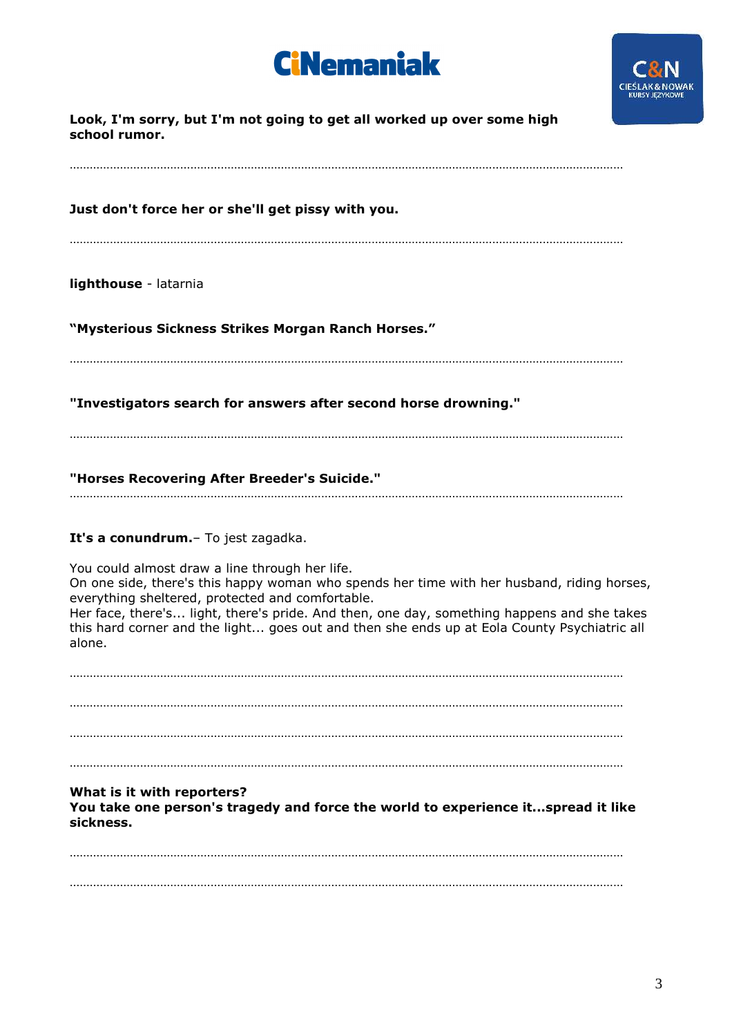# **CiNemaniak**



| Look, I'm sorry, but I'm not going to get all worked up over some high<br>school rumor.                                                                                                                                                                                                                                                                                                                 |
|---------------------------------------------------------------------------------------------------------------------------------------------------------------------------------------------------------------------------------------------------------------------------------------------------------------------------------------------------------------------------------------------------------|
| Just don't force her or she'll get pissy with you.                                                                                                                                                                                                                                                                                                                                                      |
| lighthouse - latarnia                                                                                                                                                                                                                                                                                                                                                                                   |
| "Mysterious Sickness Strikes Morgan Ranch Horses."                                                                                                                                                                                                                                                                                                                                                      |
| "Investigators search for answers after second horse drowning."                                                                                                                                                                                                                                                                                                                                         |
| "Horses Recovering After Breeder's Suicide."                                                                                                                                                                                                                                                                                                                                                            |
| It's a conundrum. - To jest zagadka.                                                                                                                                                                                                                                                                                                                                                                    |
| You could almost draw a line through her life.<br>On one side, there's this happy woman who spends her time with her husband, riding horses,<br>everything sheltered, protected and comfortable.<br>Her face, there's light, there's pride. And then, one day, something happens and she takes<br>this hard corner and the light goes out and then she ends up at Eola County Psychiatric all<br>alone. |
|                                                                                                                                                                                                                                                                                                                                                                                                         |
|                                                                                                                                                                                                                                                                                                                                                                                                         |
| What is it with reporters?<br>You take one person's tragedy and force the world to experience itspread it like<br>sickness.                                                                                                                                                                                                                                                                             |
|                                                                                                                                                                                                                                                                                                                                                                                                         |
|                                                                                                                                                                                                                                                                                                                                                                                                         |